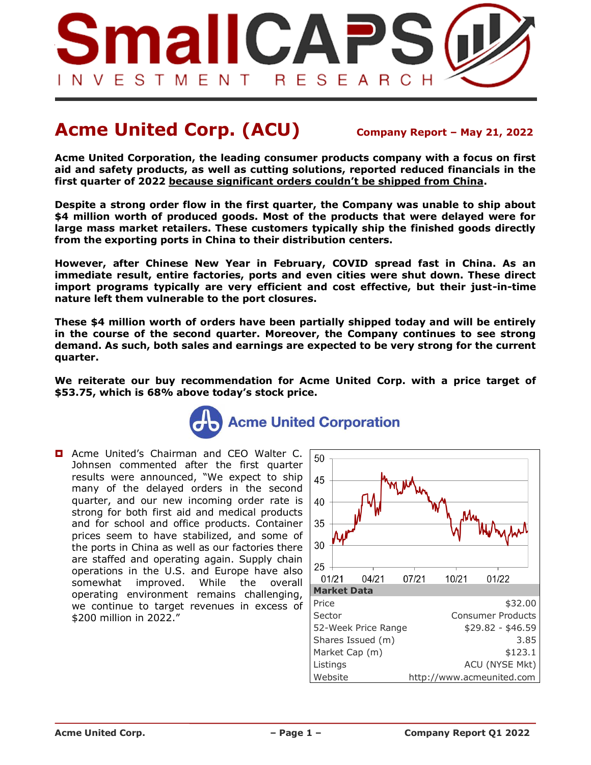

# **Acme United Corp. (ACU) Company Report – May 21, <sup>2022</sup>**

**Acme United Corporation, the leading consumer products company with a focus on first aid and safety products, as well as cutting solutions, reported reduced financials in the first quarter of 2022 because significant orders couldn't be shipped from China.** 

**Despite a strong order flow in the first quarter, the Company was unable to ship about \$4 million worth of produced goods. Most of the products that were delayed were for large mass market retailers. These customers typically ship the finished goods directly from the exporting ports in China to their distribution centers.** 

**However, after Chinese New Year in February, COVID spread fast in China. As an immediate result, entire factories, ports and even cities were shut down. These direct import programs typically are very efficient and cost effective, but their just-in-time nature left them vulnerable to the port closures.**

**These \$4 million worth of orders have been partially shipped today and will be entirely in the course of the second quarter. Moreover, the Company continues to see strong demand. As such, both sales and earnings are expected to be very strong for the current quarter.**

**We reiterate our buy recommendation for Acme United Corp. with a price target of \$53.75, which is 68% above today's stock price.**



**D** Acme United's Chairman and CEO Walter C. Johnsen commented after the first quarter results were announced, "We expect to ship many of the delayed orders in the second quarter, and our new incoming order rate is strong for both first aid and medical products and for school and office products. Container prices seem to have stabilized, and some of the ports in China as well as our factories there are staffed and operating again. Supply chain operations in the U.S. and Europe have also somewhat improved. While the overall operating environment remains challenging, we continue to target revenues in excess of \$200 million in 2022."

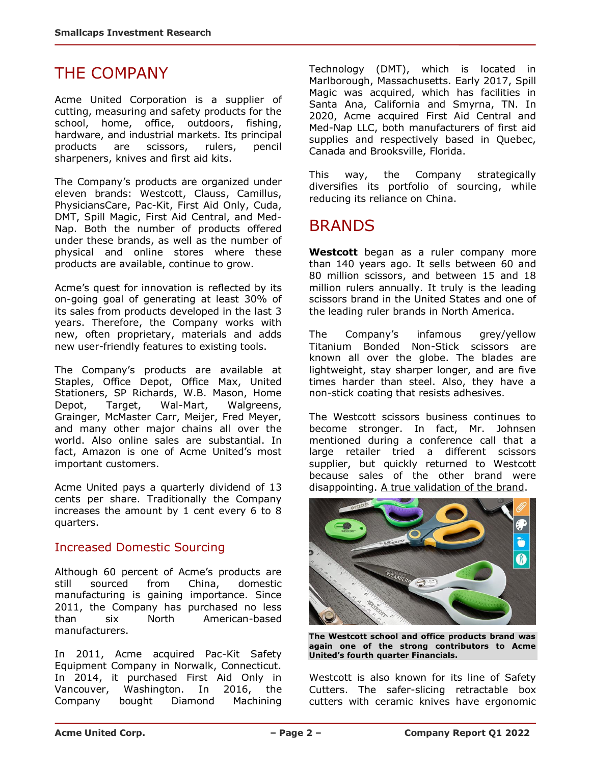### THE COMPANY

Acme United Corporation is a supplier of cutting, measuring and safety products for the school, home, office, outdoors, fishing, hardware, and industrial markets. Its principal products are scissors, rulers, pencil sharpeners, knives and first aid kits.

The Company's products are organized under eleven brands: Westcott, Clauss, Camillus, PhysiciansCare, Pac-Kit, First Aid Only, Cuda, DMT, Spill Magic, First Aid Central, and Med-Nap. Both the number of products offered under these brands, as well as the number of physical and online stores where these products are available, continue to grow.

Acme's quest for innovation is reflected by its on-going goal of generating at least 30% of its sales from products developed in the last 3 years. Therefore, the Company works with new, often proprietary, materials and adds new user-friendly features to existing tools.

The Company's products are available at Staples, Office Depot, Office Max, United Stationers, SP Richards, W.B. Mason, Home Depot, Target, Wal-Mart, Walgreens, Grainger, McMaster Carr, Meijer, Fred Meyer, and many other major chains all over the world. Also online sales are substantial. In fact, Amazon is one of Acme United's most important customers.

Acme United pays a quarterly dividend of 13 cents per share. Traditionally the Company increases the amount by 1 cent every 6 to 8 quarters.

#### Increased Domestic Sourcing

Although 60 percent of Acme's products are still sourced from China, domestic manufacturing is gaining importance. Since 2011, the Company has purchased no less than six North American-based manufacturers.

In 2011, Acme acquired Pac-Kit Safety Equipment Company in Norwalk, Connecticut. In 2014, it purchased First Aid Only in Vancouver, Washington. In 2016, the Company bought Diamond Machining Technology (DMT), which is located in Marlborough, Massachusetts. Early 2017, Spill Magic was acquired, which has facilities in Santa Ana, California and Smyrna, TN. In 2020, Acme acquired First Aid Central and Med-Nap LLC, both manufacturers of first aid supplies and respectively based in Quebec, Canada and Brooksville, Florida.

This way, the Company strategically diversifies its portfolio of sourcing, while reducing its reliance on China.

# BRANDS

**Westcott** began as a ruler company more than 140 years ago. It sells between 60 and 80 million scissors, and between 15 and 18 million rulers annually. It truly is the leading scissors brand in the United States and one of the leading ruler brands in North America.

The Company's infamous grey/yellow Titanium Bonded Non-Stick scissors are known all over the globe. The blades are lightweight, stay sharper longer, and are five times harder than steel. Also, they have a non-stick coating that resists adhesives.

The Westcott scissors business continues to become stronger. In fact, Mr. Johnsen mentioned during a conference call that a large retailer tried a different scissors supplier, but quickly returned to Westcott because sales of the other brand were disappointing. A true validation of the brand.



**The Westcott school and office products brand was again one of the strong contributors to Acme United's fourth quarter Financials.**

Westcott is also known for its line of Safety Cutters. The safer-slicing retractable box cutters with ceramic knives have ergonomic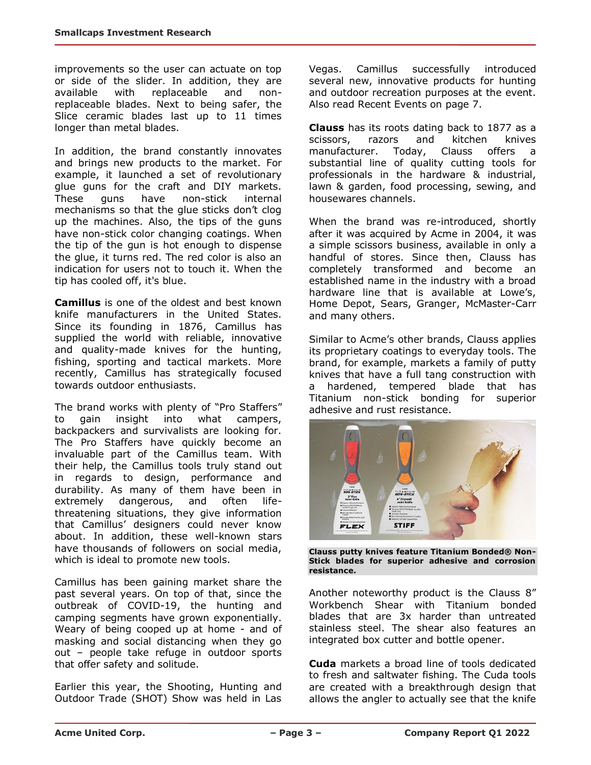improvements so the user can actuate on top or side of the slider. In addition, they are available with replaceable and nonreplaceable blades. Next to being safer, the Slice ceramic blades last up to 11 times longer than metal blades.

In addition, the brand constantly innovates and brings new products to the market. For example, it launched a set of revolutionary glue guns for the craft and DIY markets. These guns have non-stick internal mechanisms so that the glue sticks don't clog up the machines. Also, the tips of the guns have non-stick color changing coatings. When the tip of the gun is hot enough to dispense the glue, it turns red. The red color is also an indication for users not to touch it. When the tip has cooled off, it's blue.

**Camillus** is one of the oldest and best known knife manufacturers in the United States. Since its founding in 1876, Camillus has supplied the world with reliable, innovative and quality-made knives for the hunting, fishing, sporting and tactical markets. More recently, Camillus has strategically focused towards outdoor enthusiasts.

The brand works with plenty of "Pro Staffers" to gain insight into what campers, backpackers and survivalists are looking for. The Pro Staffers have quickly become an invaluable part of the Camillus team. With their help, the Camillus tools truly stand out in regards to design, performance and durability. As many of them have been in extremely dangerous, and often lifethreatening situations, they give information that Camillus' designers could never know about. In addition, these well-known stars have thousands of followers on social media, which is ideal to promote new tools.

Camillus has been gaining market share the past several years. On top of that, since the outbreak of COVID-19, the hunting and camping segments have grown exponentially. Weary of being cooped up at home - and of masking and social distancing when they go out – people take refuge in outdoor sports that offer safety and solitude.

Earlier this year, the Shooting, Hunting and Outdoor Trade (SHOT) Show was held in Las Vegas. Camillus successfully introduced several new, innovative products for hunting and outdoor recreation purposes at the event. Also read Recent Events on page 7.

**Clauss** has its roots dating back to 1877 as a scissors, razors and kitchen knives manufacturer. Today, Clauss offers a substantial line of quality cutting tools for professionals in the hardware & industrial, lawn & garden, food processing, sewing, and housewares channels.

When the brand was re-introduced, shortly after it was acquired by Acme in 2004, it was a simple scissors business, available in only a handful of stores. Since then, Clauss has completely transformed and become an established name in the industry with a broad hardware line that is available at Lowe's, Home Depot, Sears, Granger, McMaster-Carr and many others.

Similar to Acme's other brands, Clauss applies its proprietary coatings to everyday tools. The brand, for example, markets a family of putty knives that have a full tang construction with a hardened, tempered blade that has Titanium non-stick bonding for superior adhesive and rust resistance.



**Clauss putty knives feature Titanium Bonded® Non-Stick blades for superior adhesive and corrosion resistance.**

Another noteworthy product is the Clauss 8" Workbench Shear with Titanium bonded blades that are 3x harder than untreated stainless steel. The shear also features an integrated box cutter and bottle opener.

**Cuda** markets a broad line of tools dedicated to fresh and saltwater fishing. The Cuda tools are created with a breakthrough design that allows the angler to actually see that the knife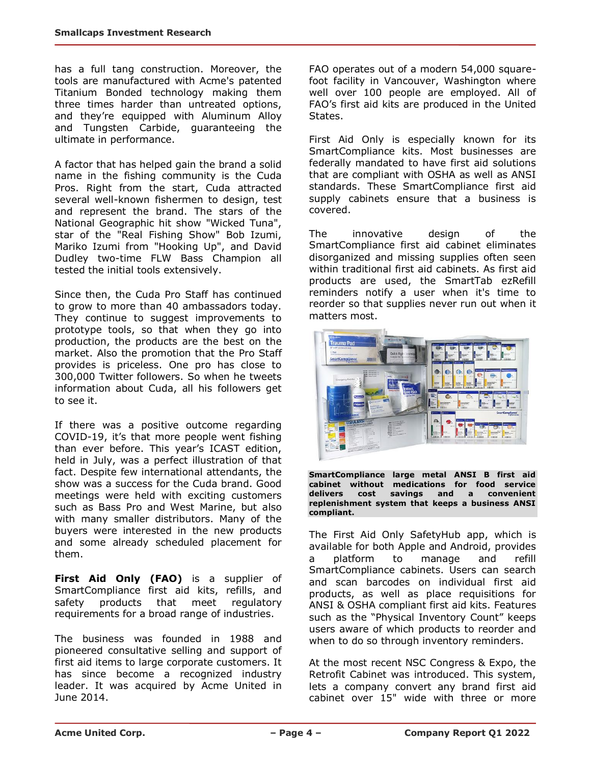has a full tang construction. Moreover, the tools are manufactured with Acme's patented Titanium Bonded technology making them three times harder than untreated options, and they're equipped with Aluminum Alloy and Tungsten Carbide, guaranteeing the ultimate in performance.

A factor that has helped gain the brand a solid name in the fishing community is the Cuda Pros. Right from the start, Cuda attracted several well-known fishermen to design, test and represent the brand. The stars of the National Geographic hit show "Wicked Tuna", star of the "Real Fishing Show" Bob Izumi, Mariko Izumi from "Hooking Up", and David Dudley two-time FLW Bass Champion all tested the initial tools extensively.

Since then, the Cuda Pro Staff has continued to grow to more than 40 ambassadors today. They continue to suggest improvements to prototype tools, so that when they go into production, the products are the best on the market. Also the promotion that the Pro Staff provides is priceless. One pro has close to 300,000 Twitter followers. So when he tweets information about Cuda, all his followers get to see it.

If there was a positive outcome regarding COVID-19, it's that more people went fishing than ever before. This year's ICAST edition, held in July, was a perfect illustration of that fact. Despite few international attendants, the show was a success for the Cuda brand. Good meetings were held with exciting customers such as Bass Pro and West Marine, but also with many smaller distributors. Many of the buyers were interested in the new products and some already scheduled placement for them.

**First Aid Only (FAO)** is a supplier of SmartCompliance first aid kits, refills, and safety products that meet regulatory requirements for a broad range of industries.

The business was founded in 1988 and pioneered consultative selling and support of first aid items to large corporate customers. It has since become a recognized industry leader. It was acquired by Acme United in June 2014.

FAO operates out of a modern 54,000 squarefoot facility in Vancouver, Washington where well over 100 people are employed. All of FAO's first aid kits are produced in the United States.

First Aid Only is especially known for its SmartCompliance kits. Most businesses are federally mandated to have first aid solutions that are compliant with OSHA as well as ANSI standards. These SmartCompliance first aid supply cabinets ensure that a business is covered.

The innovative design of the SmartCompliance first aid cabinet eliminates disorganized and missing supplies often seen within traditional first aid cabinets. As first aid products are used, the SmartTab ezRefill reminders notify a user when it's time to reorder so that supplies never run out when it matters most.



**SmartCompliance large metal ANSI B first aid cabinet without medications for food service delivers cost savings and a convenient replenishment system that keeps a business ANSI compliant.**

The First Aid Only SafetyHub app, which is available for both Apple and Android, provides a platform to manage and refill SmartCompliance cabinets. Users can search and scan barcodes on individual first aid products, as well as place requisitions for ANSI & OSHA compliant first aid kits. Features such as the "Physical Inventory Count" keeps users aware of which products to reorder and when to do so through inventory reminders.

At the most recent NSC Congress & Expo, the Retrofit Cabinet was introduced. This system, lets a company convert any brand first aid cabinet over 15" wide with three or more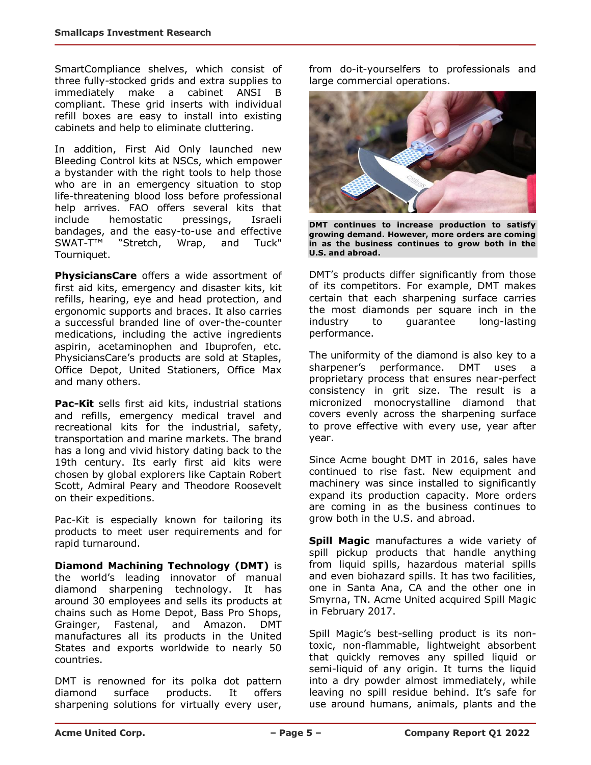SmartCompliance shelves, which consist of three fully-stocked grids and extra supplies to immediately make a cabinet ANSI B compliant. These grid inserts with individual refill boxes are easy to install into existing cabinets and help to eliminate cluttering.

In addition, First Aid Only launched new Bleeding Control kits at NSCs, which empower a bystander with the right tools to help those who are in an emergency situation to stop life-threatening blood loss before professional help arrives. FAO offers several kits that include hemostatic pressings, Israeli bandages, and the easy-to-use and effective SWAT-T™ "Stretch, Wrap, and Tuck" Tourniquet.

**PhysiciansCare** offers a wide assortment of first aid kits, emergency and disaster kits, kit refills, hearing, eye and head protection, and ergonomic supports and braces. It also carries a successful branded line of over-the-counter medications, including the active ingredients aspirin, acetaminophen and Ibuprofen, etc. PhysiciansCare's products are sold at Staples, Office Depot, United Stationers, Office Max and many others.

**Pac-Kit** sells first aid kits, industrial stations and refills, emergency medical travel and recreational kits for the industrial, safety, transportation and marine markets. The brand has a long and vivid history dating back to the 19th century. Its early first aid kits were chosen by global explorers like Captain Robert Scott, Admiral Peary and Theodore Roosevelt on their expeditions.

Pac-Kit is especially known for tailoring its products to meet user requirements and for rapid turnaround.

**Diamond Machining Technology (DMT)** is the world's leading innovator of manual diamond sharpening technology. It has around 30 employees and sells its products at chains such as Home Depot, Bass Pro Shops, Grainger, Fastenal, and Amazon. DMT manufactures all its products in the United States and exports worldwide to nearly 50 countries.

DMT is renowned for its polka dot pattern diamond surface products. It offers sharpening solutions for virtually every user, from do-it-yourselfers to professionals and large commercial operations.



**DMT continues to increase production to satisfy growing demand. However, more orders are coming in as the business continues to grow both in the U.S. and abroad.**

DMT's products differ significantly from those of its competitors. For example, DMT makes certain that each sharpening surface carries the most diamonds per square inch in the industry to guarantee long-lasting performance.

The uniformity of the diamond is also key to a sharpener's performance. DMT uses a proprietary process that ensures near-perfect consistency in grit size. The result is a micronized monocrystalline diamond that covers evenly across the sharpening surface to prove effective with every use, year after year.

Since Acme bought DMT in 2016, sales have continued to rise fast. New equipment and machinery was since installed to significantly expand its production capacity. More orders are coming in as the business continues to grow both in the U.S. and abroad.

**Spill Magic** manufactures a wide variety of spill pickup products that handle anything from liquid spills, hazardous material spills and even biohazard spills. It has two facilities, one in Santa Ana, CA and the other one in Smyrna, TN. Acme United acquired Spill Magic in February 2017.

Spill Magic's best-selling product is its nontoxic, non-flammable, lightweight absorbent that quickly removes any spilled liquid or semi-liquid of any origin. It turns the liquid into a dry powder almost immediately, while leaving no spill residue behind. It's safe for use around humans, animals, plants and the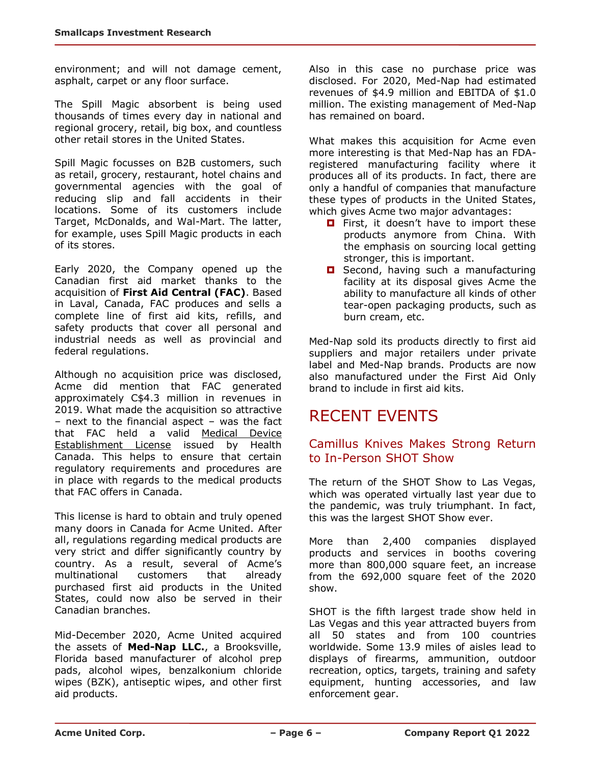environment; and will not damage cement, asphalt, carpet or any floor surface.

The Spill Magic absorbent is being used thousands of times every day in national and regional grocery, retail, big box, and countless other retail stores in the United States.

Spill Magic focusses on B2B customers, such as retail, grocery, restaurant, hotel chains and governmental agencies with the goal of reducing slip and fall accidents in their locations. Some of its customers include Target, McDonalds, and Wal-Mart. The latter, for example, uses Spill Magic products in each of its stores.

Early 2020, the Company opened up the Canadian first aid market thanks to the acquisition of **First Aid Central (FAC)**. Based in Laval, Canada, FAC produces and sells a complete line of first aid kits, refills, and safety products that cover all personal and industrial needs as well as provincial and federal regulations.

Although no acquisition price was disclosed, Acme did mention that FAC generated approximately C\$4.3 million in revenues in 2019. What made the acquisition so attractive – next to the financial aspect – was the fact that FAC held a valid Medical Device Establishment License issued by Health Canada. This helps to ensure that certain regulatory requirements and procedures are in place with regards to the medical products that FAC offers in Canada.

This license is hard to obtain and truly opened many doors in Canada for Acme United. After all, regulations regarding medical products are very strict and differ significantly country by country. As a result, several of Acme's multinational customers that already purchased first aid products in the United States, could now also be served in their Canadian branches.

Mid-December 2020, Acme United acquired the assets of **Med-Nap LLC.**, a Brooksville, Florida based manufacturer of alcohol prep pads, alcohol wipes, benzalkonium chloride wipes (BZK), antiseptic wipes, and other first aid products.

Also in this case no purchase price was disclosed. For 2020, Med-Nap had estimated revenues of \$4.9 million and EBITDA of \$1.0 million. The existing management of Med-Nap has remained on board.

What makes this acquisition for Acme even more interesting is that Med-Nap has an FDAregistered manufacturing facility where it produces all of its products. In fact, there are only a handful of companies that manufacture these types of products in the United States, which gives Acme two major advantages:

- First, it doesn't have to import these products anymore from China. With the emphasis on sourcing local getting stronger, this is important.
- **D** Second, having such a manufacturing facility at its disposal gives Acme the ability to manufacture all kinds of other tear-open packaging products, such as burn cream, etc.

Med-Nap sold its products directly to first aid suppliers and major retailers under private label and Med-Nap brands. Products are now also manufactured under the First Aid Only brand to include in first aid kits.

# RECENT EVENTS

#### Camillus Knives Makes Strong Return to In-Person SHOT Show

The return of the SHOT Show to Las Vegas, which was operated virtually last year due to the pandemic, was truly triumphant. In fact, this was the largest SHOT Show ever.

More than 2,400 companies displayed products and services in booths covering more than 800,000 square feet, an increase from the 692,000 square feet of the 2020 show.

SHOT is the fifth largest trade show held in Las Vegas and this year attracted buyers from all 50 states and from 100 countries worldwide. Some 13.9 miles of aisles lead to displays of firearms, ammunition, outdoor recreation, optics, targets, training and safety equipment, hunting accessories, and law enforcement gear.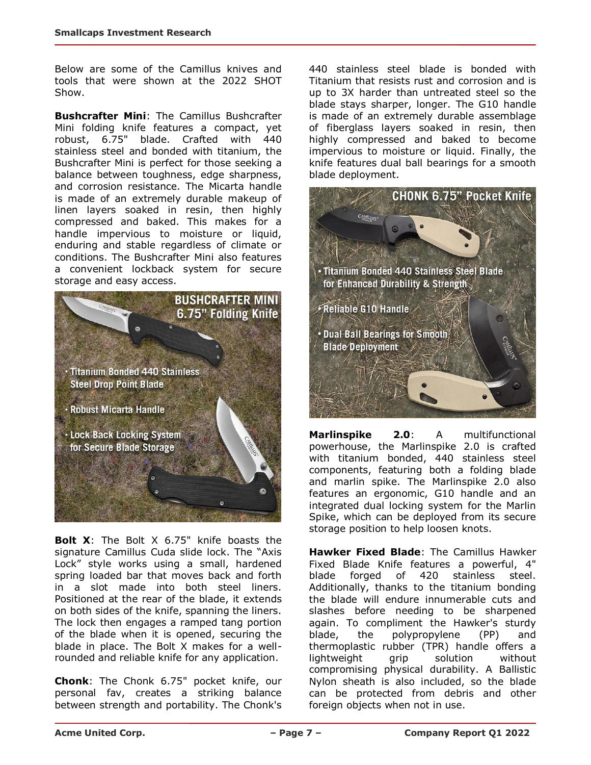Below are some of the Camillus knives and tools that were shown at the 2022 SHOT Show.

**Bushcrafter Mini:** The Camillus Bushcrafter Mini folding knife features a compact, yet robust, 6.75" blade. Crafted with 440 stainless steel and bonded with titanium, the Bushcrafter Mini is perfect for those seeking a balance between toughness, edge sharpness, and corrosion resistance. The Micarta handle is made of an extremely durable makeup of linen layers soaked in resin, then highly compressed and baked. This makes for a handle impervious to moisture or liquid, enduring and stable regardless of climate or conditions. The Bushcrafter Mini also features a convenient lockback system for secure storage and easy access.



**Bolt X**: The Bolt X 6.75" knife boasts the signature Camillus Cuda slide lock. The "Axis Lock" style works using a small, hardened spring loaded bar that moves back and forth in a slot made into both steel liners. Positioned at the rear of the blade, it extends on both sides of the knife, spanning the liners. The lock then engages a ramped tang portion of the blade when it is opened, securing the blade in place. The Bolt X makes for a wellrounded and reliable knife for any application.

**Chonk**: The Chonk 6.75" pocket knife, our personal fav, creates a striking balance between strength and portability. The Chonk's 440 stainless steel blade is bonded with Titanium that resists rust and corrosion and is up to 3X harder than untreated steel so the blade stays sharper, longer. The G10 handle is made of an extremely durable assemblage of fiberglass layers soaked in resin, then highly compressed and baked to become impervious to moisture or liquid. Finally, the knife features dual ball bearings for a smooth blade deployment.



**Marlinspike 2.0**: A multifunctional powerhouse, the Marlinspike 2.0 is crafted with titanium bonded, 440 stainless steel components, featuring both a folding blade and marlin spike. The Marlinspike 2.0 also features an ergonomic, G10 handle and an integrated dual locking system for the Marlin Spike, which can be deployed from its secure storage position to help loosen knots.

**Hawker Fixed Blade**: The Camillus Hawker Fixed Blade Knife features a powerful, 4" blade forged of 420 stainless steel. Additionally, thanks to the titanium bonding the blade will endure innumerable cuts and slashes before needing to be sharpened again. To compliment the Hawker's sturdy blade, the polypropylene (PP) and thermoplastic rubber (TPR) handle offers a lightweight grip solution without compromising physical durability. A Ballistic Nylon sheath is also included, so the blade can be protected from debris and other foreign objects when not in use.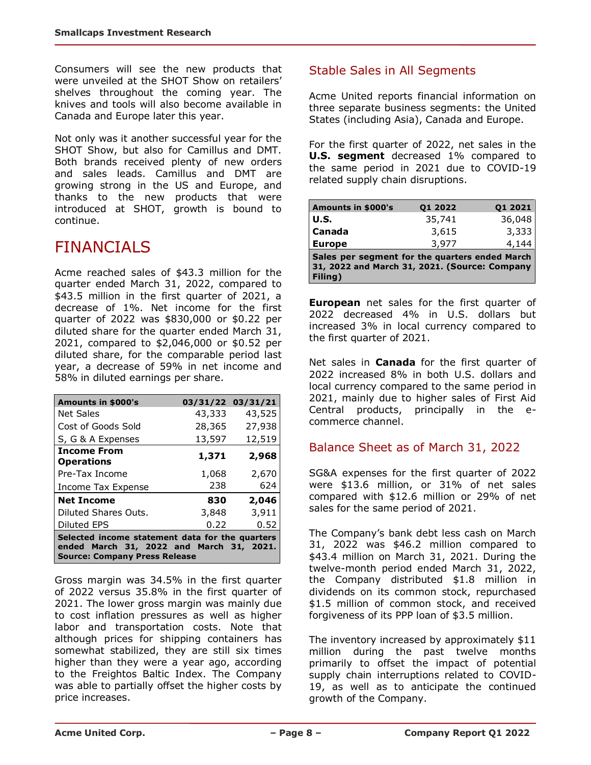Consumers will see the new products that were unveiled at the SHOT Show on retailers' shelves throughout the coming year. The knives and tools will also become available in Canada and Europe later this year.

Not only was it another successful year for the SHOT Show, but also for Camillus and DMT. Both brands received plenty of new orders and sales leads. Camillus and DMT are growing strong in the US and Europe, and thanks to the new products that were introduced at SHOT, growth is bound to continue.

# FINANCIALS

Acme reached sales of \$43.3 million for the quarter ended March 31, 2022, compared to \$43.5 million in the first quarter of 2021, a decrease of 1%. Net income for the first quarter of 2022 was \$830,000 or \$0.22 per diluted share for the quarter ended March 31, 2021, compared to \$2,046,000 or \$0.52 per diluted share, for the comparable period last year, a decrease of 59% in net income and 58% in diluted earnings per share.

| Amounts in \$000's                                                                                                                  | 03/31/22 03/31/21 |        |  |  |  |
|-------------------------------------------------------------------------------------------------------------------------------------|-------------------|--------|--|--|--|
| <b>Net Sales</b>                                                                                                                    | 43,333            | 43,525 |  |  |  |
| Cost of Goods Sold                                                                                                                  | 28,365<br>27,938  |        |  |  |  |
| S, G & A Expenses                                                                                                                   | 13,597            | 12,519 |  |  |  |
| <b>Income From</b><br><b>Operations</b>                                                                                             | 1,371             | 2,968  |  |  |  |
| Pre-Tax Income                                                                                                                      | 1,068             | 2,670  |  |  |  |
| Income Tax Expense                                                                                                                  | 238               | 624    |  |  |  |
| <b>Net Income</b>                                                                                                                   | 830               | 2,046  |  |  |  |
| Diluted Shares Outs.                                                                                                                | 3,848             | 3,911  |  |  |  |
| Diluted EPS                                                                                                                         | 0.22              | 0.52   |  |  |  |
| Selected income statement data for the quarters<br>ended March 31, 2022 and March 31, 2021.<br><b>Source: Company Press Release</b> |                   |        |  |  |  |

Gross margin was 34.5% in the first quarter of 2022 versus 35.8% in the first quarter of 2021. The lower gross margin was mainly due to cost inflation pressures as well as higher labor and transportation costs. Note that although prices for shipping containers has somewhat stabilized, they are still six times higher than they were a year ago, according to the Freightos Baltic Index. The Company was able to partially offset the higher costs by price increases.

### Stable Sales in All Segments

Acme United reports financial information on three separate business segments: the United States (including Asia), Canada and Europe.

For the first quarter of 2022, net sales in the **U.S. segment** decreased 1% compared to the same period in 2021 due to COVID-19 related supply chain disruptions.

| <b>Amounts in \$000's</b>                                                                                  | 01 2022 | Q1 2021 |  |  |  |
|------------------------------------------------------------------------------------------------------------|---------|---------|--|--|--|
| <b>U.S.</b>                                                                                                | 35,741  | 36,048  |  |  |  |
| Canada                                                                                                     | 3,615   | 3,333   |  |  |  |
| <b>Europe</b>                                                                                              | 3,977   | 4,144   |  |  |  |
| Sales per segment for the quarters ended March<br>31, 2022 and March 31, 2021. (Source: Company<br>Filing) |         |         |  |  |  |

**European** net sales for the first quarter of 2022 decreased 4% in U.S. dollars but increased 3% in local currency compared to the first quarter of 2021.

Net sales in **Canada** for the first quarter of 2022 increased 8% in both U.S. dollars and local currency compared to the same period in 2021, mainly due to higher sales of First Aid Central products, principally in the ecommerce channel.

#### Balance Sheet as of March 31, 2022

SG&A expenses for the first quarter of 2022 were \$13.6 million, or 31% of net sales compared with \$12.6 million or 29% of net sales for the same period of 2021.

The Company's bank debt less cash on March 31, 2022 was \$46.2 million compared to \$43.4 million on March 31, 2021. During the twelve-month period ended March 31, 2022, the Company distributed \$1.8 million in dividends on its common stock, repurchased \$1.5 million of common stock, and received forgiveness of its PPP loan of \$3.5 million.

The inventory increased by approximately \$11 million during the past twelve months primarily to offset the impact of potential supply chain interruptions related to COVID-19, as well as to anticipate the continued growth of the Company.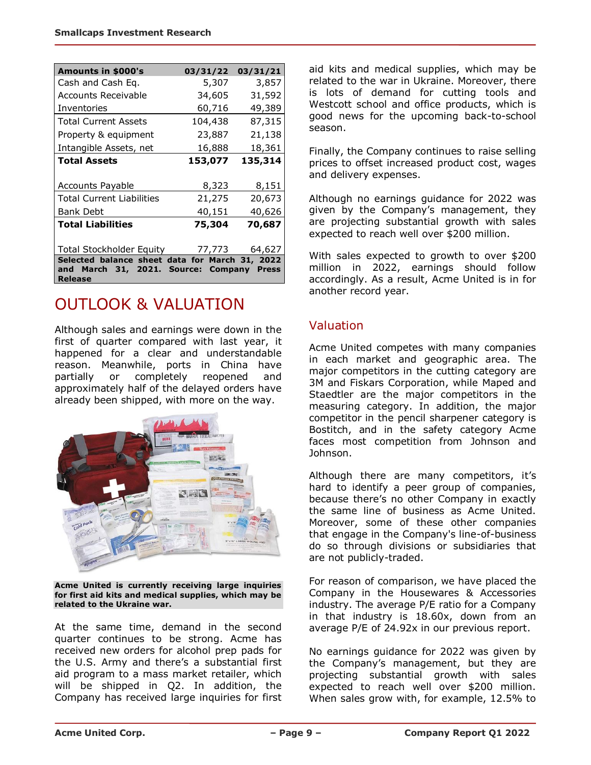| <b>Amounts in \$000's</b>                                                                                           | 03/31/22 | 03/31/21 |  |  |  |
|---------------------------------------------------------------------------------------------------------------------|----------|----------|--|--|--|
| Cash and Cash Eq.                                                                                                   | 5,307    | 3,857    |  |  |  |
| <b>Accounts Receivable</b>                                                                                          | 34,605   | 31,592   |  |  |  |
| Inventories                                                                                                         | 60,716   | 49,389   |  |  |  |
| <b>Total Current Assets</b>                                                                                         | 104,438  | 87,315   |  |  |  |
| Property & equipment                                                                                                | 23,887   | 21,138   |  |  |  |
| Intangible Assets, net                                                                                              | 16,888   | 18,361   |  |  |  |
| <b>Total Assets</b>                                                                                                 | 153,077  |          |  |  |  |
|                                                                                                                     |          |          |  |  |  |
| <b>Accounts Payable</b>                                                                                             | 8,323    | 8,151    |  |  |  |
| <b>Total Current Liabilities</b>                                                                                    | 21,275   | 20,673   |  |  |  |
| <b>Bank Debt</b>                                                                                                    | 40,151   | 40,626   |  |  |  |
| <b>Total Liabilities</b>                                                                                            | 75,304   | 70,687   |  |  |  |
|                                                                                                                     |          |          |  |  |  |
| Total Stockholder Equity                                                                                            | 77,773   | 64,627   |  |  |  |
| Selected balance sheet data for March 31, 2022<br>March 31, 2021. Source: Company<br>and<br><b>Press</b><br>Release |          |          |  |  |  |

# OUTLOOK & VALUATION

Although sales and earnings were down in the first of quarter compared with last year, it happened for a clear and understandable reason. Meanwhile, ports in China have partially or completely reopened and approximately half of the delayed orders have already been shipped, with more on the way.



**Acme United is currently receiving large inquiries for first aid kits and medical supplies, which may be related to the Ukraine war.**

At the same time, demand in the second quarter continues to be strong. Acme has received new orders for alcohol prep pads for the U.S. Army and there's a substantial first aid program to a mass market retailer, which will be shipped in Q2. In addition, the Company has received large inquiries for first aid kits and medical supplies, which may be related to the war in Ukraine. Moreover, there is lots of demand for cutting tools and Westcott school and office products, which is good news for the upcoming back-to-school season.

Finally, the Company continues to raise selling prices to offset increased product cost, wages and delivery expenses.

Although no earnings guidance for 2022 was given by the Company's management, they are projecting substantial growth with sales expected to reach well over \$200 million.

With sales expected to growth to over \$200 million in 2022, earnings should follow accordingly. As a result, Acme United is in for another record year.

### Valuation

Acme United competes with many companies in each market and geographic area. The major competitors in the cutting category are 3M and Fiskars Corporation, while Maped and Staedtler are the major competitors in the measuring category. In addition, the major competitor in the pencil sharpener category is Bostitch, and in the safety category Acme faces most competition from Johnson and Johnson.

Although there are many competitors, it's hard to identify a peer group of companies, because there's no other Company in exactly the same line of business as Acme United. Moreover, some of these other companies that engage in the Company's line-of-business do so through divisions or subsidiaries that are not publicly-traded.

For reason of comparison, we have placed the Company in the Housewares & Accessories industry. The average P/E ratio for a Company in that industry is 18.60x, down from an average P/E of 24.92x in our previous report.

No earnings guidance for 2022 was given by the Company's management, but they are projecting substantial growth with sales expected to reach well over \$200 million. When sales grow with, for example, 12.5% to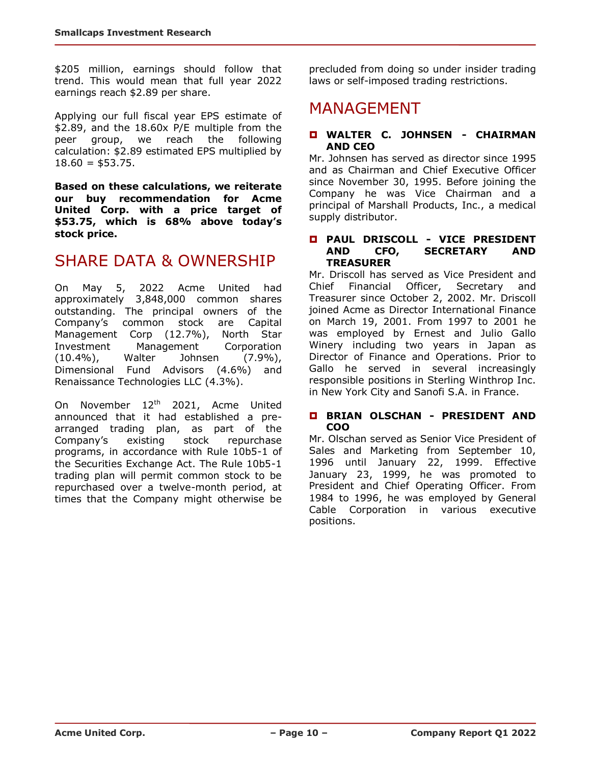\$205 million, earnings should follow that trend. This would mean that full year 2022 earnings reach \$2.89 per share.

Applying our full fiscal year EPS estimate of \$2.89, and the 18.60x P/E multiple from the peer group, we reach the following calculation: \$2.89 estimated EPS multiplied by  $18.60 = $53.75$ .

**Based on these calculations, we reiterate our buy recommendation for Acme United Corp. with a price target of \$53.75, which is 68% above today's stock price.** 

### SHARE DATA & OWNERSHIP

On May 5, 2022 Acme United had approximately 3,848,000 common shares outstanding. The principal owners of the Company's common stock are Capital Management Corp (12.7%), North Star Investment Management Corporation (10.4%), Walter Johnsen (7.9%), Dimensional Fund Advisors (4.6%) and Renaissance Technologies LLC (4.3%).

On November 12<sup>th</sup> 2021, Acme United announced that it had established a prearranged trading plan, as part of the Company's existing stock repurchase programs, in accordance with Rule 10b5-1 of the Securities Exchange Act. The Rule 10b5-1 trading plan will permit common stock to be repurchased over a twelve-month period, at times that the Company might otherwise be precluded from doing so under insider trading laws or self-imposed trading restrictions.

### MANAGEMENT

#### **WALTER C. JOHNSEN - CHAIRMAN AND CEO**

Mr. Johnsen has served as director since 1995 and as Chairman and Chief Executive Officer since November 30, 1995. Before joining the Company he was Vice Chairman and a principal of Marshall Products, Inc., a medical supply distributor.

#### **PAUL DRISCOLL - VICE PRESIDENT AND CFO, SECRETARY AND TREASURER**

Mr. Driscoll has served as Vice President and Chief Financial Officer, Secretary and Treasurer since October 2, 2002. Mr. Driscoll joined Acme as Director International Finance on March 19, 2001. From 1997 to 2001 he was employed by Ernest and Julio Gallo Winery including two years in Japan as Director of Finance and Operations. Prior to Gallo he served in several increasingly responsible positions in Sterling Winthrop Inc. in New York City and Sanofi S.A. in France.

#### **BRIAN OLSCHAN - PRESIDENT AND COO**

Mr. Olschan served as Senior Vice President of Sales and Marketing from September 10, 1996 until January 22, 1999. Effective January 23, 1999, he was promoted to President and Chief Operating Officer. From 1984 to 1996, he was employed by General Cable Corporation in various executive positions.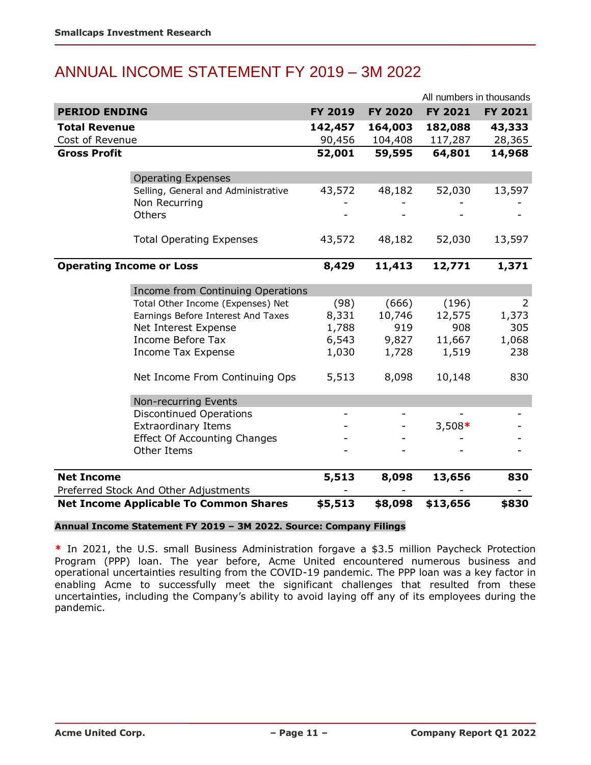# ANNUAL INCOME STATEMENT FY 2019 – 3M 2022

|                                 |                                               |         |                | All numbers in thousands |         |
|---------------------------------|-----------------------------------------------|---------|----------------|--------------------------|---------|
| <b>PERIOD ENDING</b>            |                                               | FY 2019 | <b>FY 2020</b> | FY 2021                  | FY 2021 |
| <b>Total Revenue</b>            |                                               | 142,457 | 164,003        | 182,088                  | 43,333  |
| Cost of Revenue                 |                                               | 90,456  | 104,408        | 117,287                  | 28,365  |
| <b>Gross Profit</b>             |                                               | 52,001  | 59,595         | 64,801                   | 14,968  |
|                                 |                                               |         |                |                          |         |
|                                 | <b>Operating Expenses</b>                     |         |                |                          |         |
|                                 | Selling, General and Administrative           | 43,572  | 48,182         | 52,030                   | 13,597  |
|                                 | Non Recurring                                 |         |                |                          |         |
|                                 | Others                                        |         |                |                          |         |
|                                 | <b>Total Operating Expenses</b>               | 43,572  | 48,182         | 52,030                   | 13,597  |
|                                 |                                               |         |                |                          |         |
| <b>Operating Income or Loss</b> |                                               | 8,429   | 11,413         | 12,771                   | 1,371   |
|                                 | Income from Continuing Operations             |         |                |                          |         |
|                                 | Total Other Income (Expenses) Net             | (98)    | (666)          | (196)                    | 2       |
|                                 | Earnings Before Interest And Taxes            | 8,331   | 10,746         | 12,575                   | 1,373   |
|                                 | Net Interest Expense                          | 1,788   | 919            | 908                      | 305     |
|                                 | <b>Income Before Tax</b>                      | 6,543   | 9,827          | 11,667                   | 1,068   |
|                                 | <b>Income Tax Expense</b>                     | 1,030   | 1,728          | 1,519                    | 238     |
|                                 | Net Income From Continuing Ops                | 5,513   | 8,098          | 10,148                   | 830     |
|                                 | Non-recurring Events                          |         |                |                          |         |
|                                 | <b>Discontinued Operations</b>                |         |                |                          |         |
|                                 | <b>Extraordinary Items</b>                    |         |                | $3,508*$                 |         |
|                                 | <b>Effect Of Accounting Changes</b>           |         |                |                          |         |
|                                 | Other Items                                   |         |                |                          |         |
| <b>Net Income</b>               |                                               | 5,513   | 8,098          | 13,656                   | 830     |
|                                 | Preferred Stock And Other Adjustments         |         |                |                          |         |
|                                 | <b>Net Income Applicable To Common Shares</b> | \$5,513 | \$8,098        | \$13,656                 | \$830   |

#### **Annual Income Statement FY 2019 – 3M 2022. Source: Company Filings**

**\*** In 2021, the U.S. small Business Administration forgave a \$3.5 million Paycheck Protection Program (PPP) loan. The year before, Acme United encountered numerous business and operational uncertainties resulting from the COVID-19 pandemic. The PPP loan was a key factor in enabling Acme to successfully meet the significant challenges that resulted from these uncertainties, including the Company's ability to avoid laying off any of its employees during the pandemic.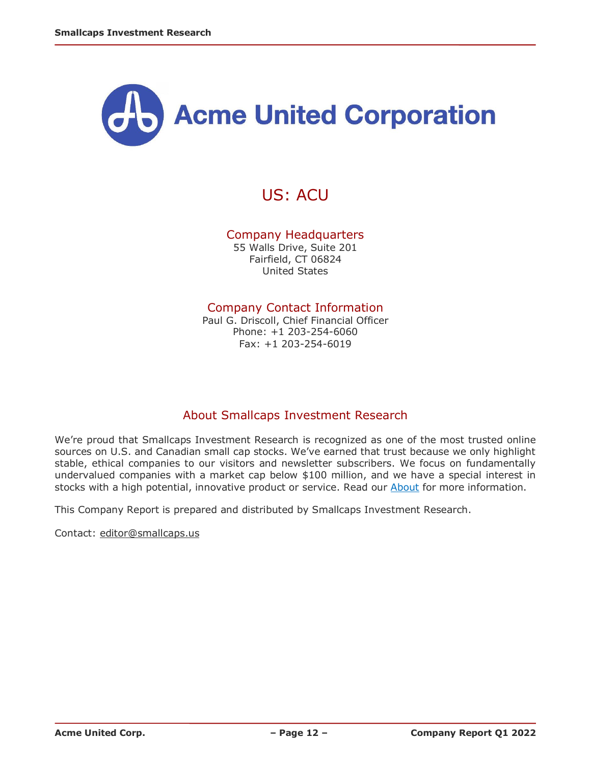

# US: ACU

#### Company Headquarters

55 Walls Drive, Suite 201 Fairfield, CT 06824 United States

#### Company Contact Information

Paul G. Driscoll, Chief Financial Officer Phone: +1 203-254-6060 Fax: +1 203-254-6019

#### About Smallcaps Investment Research

We're proud that Smallcaps Investment Research is recognized as one of the most trusted online sources on U.S. and Canadian small cap stocks. We've earned that trust because we only highlight stable, ethical companies to our visitors and newsletter subscribers. We focus on fundamentally undervalued companies with a market cap below \$100 million, and we have a special interest in stocks with a high potential, innovative product or service. Read our [About](http://smallcaps.us/about) for more information.

This Company Report is prepared and distributed by Smallcaps Investment Research.

Contact: [editor@smallcaps.us](mailto:editor@smallcaps.us)